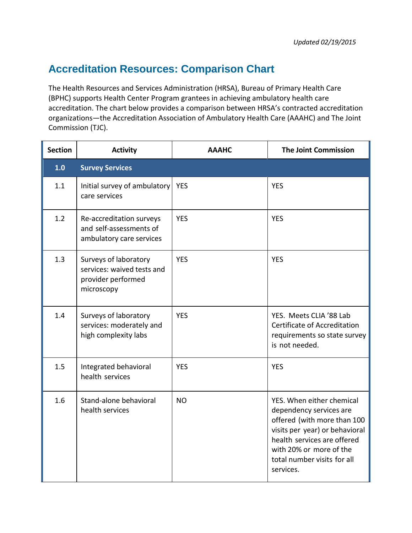## **Accreditation Resources: Comparison Chart**

The Health Resources and Services Administration (HRSA), Bureau of Primary Health Care (BPHC) supports Health Center Program grantees in achieving ambulatory health care accreditation. The chart below provides a comparison between HRSA's contracted accreditation organizations—the Accreditation Association of Ambulatory Health Care (AAAHC) and The Joint Commission (TJC).

| <b>Section</b> | <b>Activity</b>                                                                         | <b>AAAHC</b> | <b>The Joint Commission</b>                                                                                                                                                                                                 |
|----------------|-----------------------------------------------------------------------------------------|--------------|-----------------------------------------------------------------------------------------------------------------------------------------------------------------------------------------------------------------------------|
| 1.0            | <b>Survey Services</b>                                                                  |              |                                                                                                                                                                                                                             |
| 1.1            | Initial survey of ambulatory<br>care services                                           | <b>YES</b>   | <b>YES</b>                                                                                                                                                                                                                  |
| 1.2            | Re-accreditation surveys<br>and self-assessments of<br>ambulatory care services         | <b>YES</b>   | <b>YES</b>                                                                                                                                                                                                                  |
| 1.3            | Surveys of laboratory<br>services: waived tests and<br>provider performed<br>microscopy | <b>YES</b>   | <b>YES</b>                                                                                                                                                                                                                  |
| 1.4            | Surveys of laboratory<br>services: moderately and<br>high complexity labs               | <b>YES</b>   | YES. Meets CLIA '88 Lab<br>Certificate of Accreditation<br>requirements so state survey<br>is not needed.                                                                                                                   |
| 1.5            | Integrated behavioral<br>health services                                                | <b>YES</b>   | <b>YES</b>                                                                                                                                                                                                                  |
| 1.6            | Stand-alone behavioral<br>health services                                               | <b>NO</b>    | YES. When either chemical<br>dependency services are<br>offered (with more than 100<br>visits per year) or behavioral<br>health services are offered<br>with 20% or more of the<br>total number visits for all<br>services. |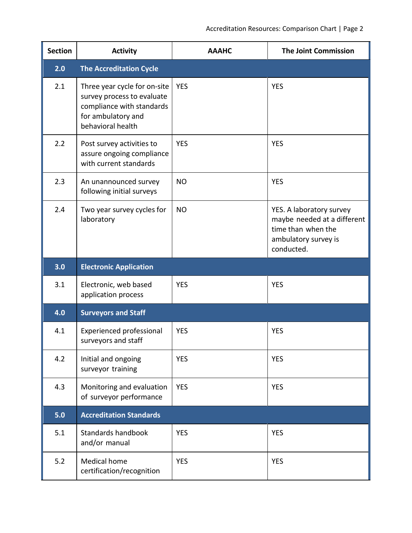| <b>Section</b> | <b>Activity</b>                                                                                                                    | <b>AAAHC</b> | <b>The Joint Commission</b>                                                                                         |
|----------------|------------------------------------------------------------------------------------------------------------------------------------|--------------|---------------------------------------------------------------------------------------------------------------------|
| 2.0            | <b>The Accreditation Cycle</b>                                                                                                     |              |                                                                                                                     |
| 2.1            | Three year cycle for on-site<br>survey process to evaluate<br>compliance with standards<br>for ambulatory and<br>behavioral health | <b>YES</b>   | <b>YES</b>                                                                                                          |
| 2.2            | Post survey activities to<br>assure ongoing compliance<br>with current standards                                                   | <b>YES</b>   | <b>YES</b>                                                                                                          |
| 2.3            | An unannounced survey<br>following initial surveys                                                                                 | <b>NO</b>    | <b>YES</b>                                                                                                          |
| 2.4            | Two year survey cycles for<br>laboratory                                                                                           | <b>NO</b>    | YES. A laboratory survey<br>maybe needed at a different<br>time than when the<br>ambulatory survey is<br>conducted. |
| 3.0            | <b>Electronic Application</b>                                                                                                      |              |                                                                                                                     |
| 3.1            | Electronic, web based<br>application process                                                                                       | <b>YES</b>   | <b>YES</b>                                                                                                          |
| 4.0            | <b>Surveyors and Staff</b>                                                                                                         |              |                                                                                                                     |
| 4.1            | Experienced professional<br>surveyors and staff                                                                                    | <b>YES</b>   | <b>YES</b>                                                                                                          |
| 4.2            | Initial and ongoing<br>surveyor training                                                                                           | <b>YES</b>   | <b>YES</b>                                                                                                          |
| 4.3            | Monitoring and evaluation<br>of surveyor performance                                                                               | <b>YES</b>   | <b>YES</b>                                                                                                          |
| 5.0            | <b>Accreditation Standards</b>                                                                                                     |              |                                                                                                                     |
| 5.1            | Standards handbook<br>and/or manual                                                                                                | <b>YES</b>   | <b>YES</b>                                                                                                          |
| 5.2            | <b>Medical home</b><br>certification/recognition                                                                                   | <b>YES</b>   | <b>YES</b>                                                                                                          |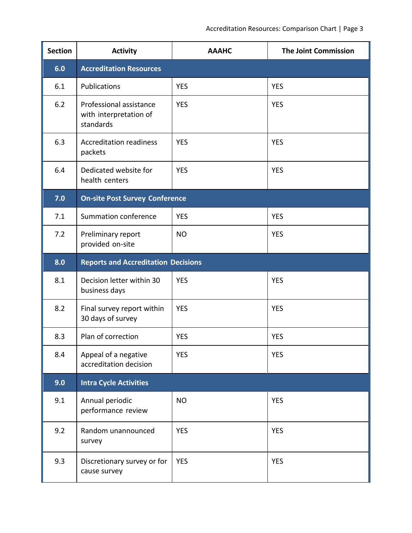| <b>Section</b> | <b>Activity</b>                                                | <b>AAAHC</b> | <b>The Joint Commission</b> |  |  |
|----------------|----------------------------------------------------------------|--------------|-----------------------------|--|--|
| 6.0            | <b>Accreditation Resources</b>                                 |              |                             |  |  |
| 6.1            | Publications                                                   | <b>YES</b>   | <b>YES</b>                  |  |  |
| 6.2            | Professional assistance<br>with interpretation of<br>standards | <b>YES</b>   | <b>YES</b>                  |  |  |
| 6.3            | <b>Accreditation readiness</b><br>packets                      | <b>YES</b>   | <b>YES</b>                  |  |  |
| 6.4            | Dedicated website for<br>health centers                        | <b>YES</b>   | <b>YES</b>                  |  |  |
| 7.0            | <b>On-site Post Survey Conference</b>                          |              |                             |  |  |
| 7.1            | Summation conference                                           | <b>YES</b>   | <b>YES</b>                  |  |  |
| 7.2            | Preliminary report<br>provided on-site                         | <b>NO</b>    | <b>YES</b>                  |  |  |
| 8.0            | <b>Reports and Accreditation Decisions</b>                     |              |                             |  |  |
| 8.1            | Decision letter within 30<br>business days                     | <b>YES</b>   | <b>YES</b>                  |  |  |
| 8.2            | Final survey report within<br>30 days of survey                | <b>YES</b>   | <b>YES</b>                  |  |  |
| 8.3            | Plan of correction                                             | <b>YES</b>   | <b>YES</b>                  |  |  |
| 8.4            | Appeal of a negative<br>accreditation decision                 | <b>YES</b>   | <b>YES</b>                  |  |  |
| 9.0            | <b>Intra Cycle Activities</b>                                  |              |                             |  |  |
| 9.1            | Annual periodic<br>performance review                          | <b>NO</b>    | <b>YES</b>                  |  |  |
| 9.2            | Random unannounced<br>survey                                   | <b>YES</b>   | <b>YES</b>                  |  |  |
| 9.3            | Discretionary survey or for<br>cause survey                    | <b>YES</b>   | <b>YES</b>                  |  |  |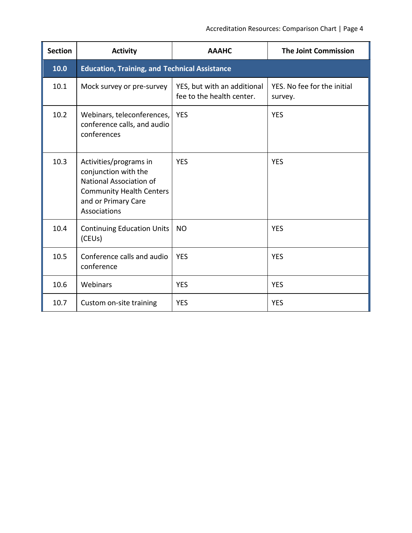| <b>Section</b> | <b>Activity</b>                                                                                                                                     | <b>AAAHC</b>                                             | <b>The Joint Commission</b>            |  |  |
|----------------|-----------------------------------------------------------------------------------------------------------------------------------------------------|----------------------------------------------------------|----------------------------------------|--|--|
| 10.0           | <b>Education, Training, and Technical Assistance</b>                                                                                                |                                                          |                                        |  |  |
| 10.1           | Mock survey or pre-survey                                                                                                                           | YES, but with an additional<br>fee to the health center. | YES. No fee for the initial<br>survey. |  |  |
| 10.2           | Webinars, teleconferences,<br>conference calls, and audio<br>conferences                                                                            | <b>YES</b>                                               | <b>YES</b>                             |  |  |
| 10.3           | Activities/programs in<br>conjunction with the<br>National Association of<br><b>Community Health Centers</b><br>and or Primary Care<br>Associations | <b>YES</b>                                               | <b>YES</b>                             |  |  |
| 10.4           | <b>Continuing Education Units</b><br>(CEU <sub>s</sub> )                                                                                            | <b>NO</b>                                                | <b>YES</b>                             |  |  |
| 10.5           | Conference calls and audio<br>conference                                                                                                            | <b>YES</b>                                               | <b>YES</b>                             |  |  |
| 10.6           | Webinars                                                                                                                                            | <b>YES</b>                                               | <b>YES</b>                             |  |  |
| 10.7           | Custom on-site training                                                                                                                             | <b>YES</b>                                               | <b>YES</b>                             |  |  |